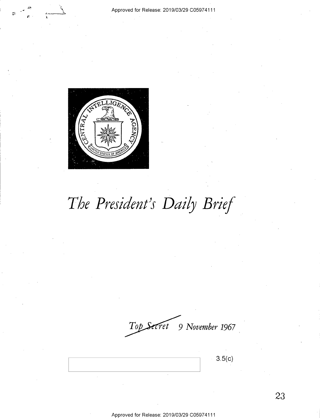

# *The President's Daily Brief*

*9 November 1967*   $\mathcal{I}$ op

**3.5(c)**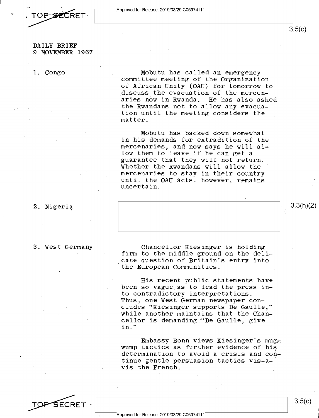

DAILY BRIEF 9 NOVEMBER 1967

#### 1. Congo

Mobutu has called an emergency committee meeting of the Organization of African Unity (OAU) for tomorrow to discuss the evacuation of the mercen-<br>aries now in Rwanda. He has also asked aries now in Rwanda. the Rwandans not to allow any evacuation until the meeting considers the matter.

Mobutu has backed down somewhat in his demands for extradition of the mercenaries, and now says he will allow them to leave if he can get a guarantee that they will not return. Whether the Rwandans will allow the mercenaries to stay in their country until the OAU acts, however, remains uncertain.

#### 2. Nigeria

#### 3. West Germany

Chancellor Kiesinger is holding firm to the middle ground on the delicate question of Britain's entry into the European Communities.

His recent public statements have been so vague as to lead the press into contradictory interpretations. Thus, one West German newspaper concludes "Kiesinger supports De Gaulle," while another maintains that the Chancellor is demanding "De Gaulle, give in."

Embassy Bonn views Kiesinger's mugwump tactics as further evidence of his determination to avoid a crisis and continue gentle persuasion tactics vis-a-· vis the French.

3.3(h)(2)

 $3.5(c)$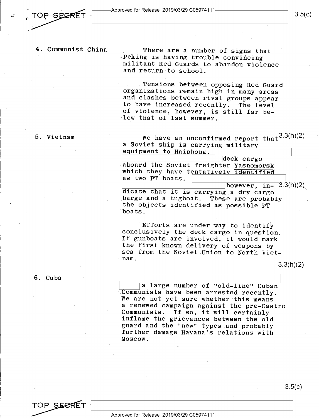$\mathcal{L}$ 

1

#### 4. Communist China

There are a number of signs that Peking is having trouble convincing militant Red Guards to abandon violence and return to school.

Tensions between opposing Red Guard organizations remain high in many areas and clashes between rival groups appear to have increased recently. The level of violence, however, is still far below that of last summer.

#### 5. Vietnam

We have an unconfirmed report that  $3.3(h)(2)$ a Soviet ship is carrying military equipment to Haiphong.

deck cargo<br> **The Soviet freighter-Yasnomorsk** which they have tentatively identified as two **PT** boats.

 $\frac{1}{\text{blue}}$  however, in- 3.3(h)(2) dicate that it is carrying a dry cargo barge and a tugboat. These are probably the objects identified as possible **PT**  boats.

Efforts are under way to identify conclusively the deck cargo in question. If gunboats are involved, it would mark the first known delivery of weapons by sea from the Soviet Union to North Vietnam.

3.3(h)(2)

#### 6. Cuba

a large number of "old-line" Cuban Communists have been arrested recently. We are not yet sure whether this means <sup>a</sup>renewed campaign against the pre-Castro Communists. If so, it will certainly inflame the grievances between the old guard and the "new" types and probably further damage Havana's relations with Moscow.



3.5(c)

#### Approved for Release: 2019/03/29 C0597 4111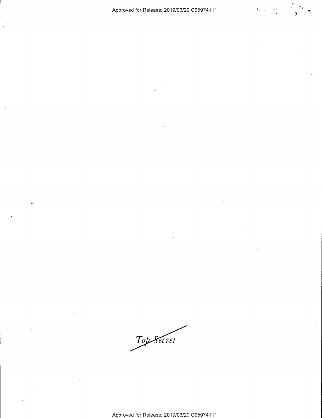.<br>وصد المارية

.<br>La

Top Secret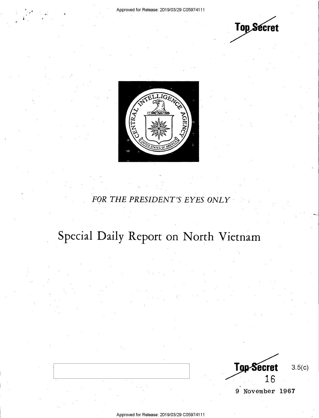



### FOR THE PRESIDENT'S EYES ONLY

## Special Daily Report on North Vietnam

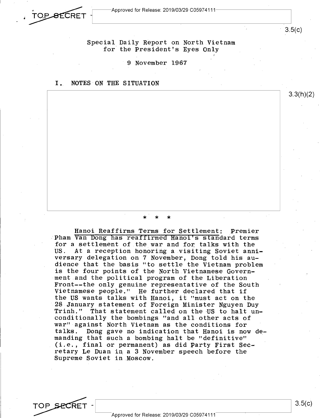



TOP SECRET

3.5(c)

3.3(h)(2)

Special Daily Report on North Vietnam for the President's Eyes Only

9 November 1967

#### I. NOTES ON THE SITUATION

\* \* \*

Hanoi Reaffirms Terms for Settlement: Premier Pham Van Dong has reaffirmed Hanoi's standard terms for a settlement of the war and for, talks with the At a reception honoring a visiting Soviet anniversary delegation on 7 November, Dong told his audience that the basis "to settle the Vietnam problem is the four points of the North Vietnamese Government and the political program of the Liberation Front--the only genuine representative of the South Vietnamese people." He further declared that if the US wants talks with Hanoi, it "must act on the 28 January statement of Foreign Minister Nguyen Duy Trinh." That statement called on the US to halt unconditionally the bombings "and all other acts of war" against North Vietnam as the conditions for Dong gave no indication that Hanoi is now demanding that such a bombing halt be ''definitive" (i.e., final or permanent) as did Party First Sec~ retary Le Duan in a 3 November speech before the Supreme Soviet in Moscow.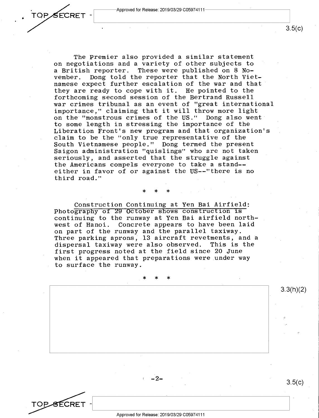TOPSECRET -

•

The Premier also provided a similar statement on negotiations and a variety of other subjects to<br>a British reporter. These were published on 8 Noa British reporter. These were published on 8 No-Dong told the reporter that the North Vietnamese expect further escalation of the war and that they are ready to cope with it. He pointed to the forthcoming second session of the Bertrand Russell war crimes tribunal as an event of "great international importance," claiming that it will throw more light on the "monstrous crimes of the US." Dong also went to some length in stressing the importance of the Liberation Front's new program and that organization's claim to be the "only true representative of the South Vietnamese people." Dong termed the present Saigon administration "quislings" who are not taken seriously, and asserted that the struggle against the Americans compels everyone to take a stand- either in favor of or against the US--"there is no third road."

\* \* \*

Construction Continuing at Yen Bai Airfield: Photography of 29 October shows construction 1s continuing to the runway at Yen Bai airfield north-Concrete appears to have been laid on part of the runway and the parallel taxiway. Three parking aprons, 13 aircraft revetments, and a dispersal taxiway were also observed. first progress noted at the field since 20 June when it appeared that preparations were under way to surface the runway.

\* \* \*

TOP SECRET

-2-

3.5(c)

3.3(h)(2)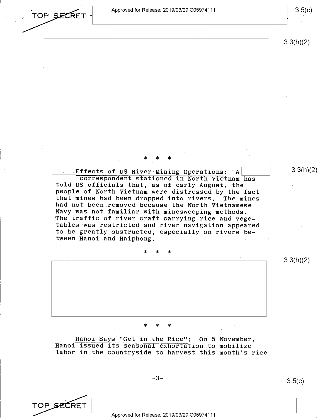Approved for Release: 2019/03/29 C0597 4111

\* \* \*

Effects of US River Mining Operations: A Icorrespondent stationed in North Vietnam has told US officials that, as of early August, the people of North Vietnam were distressed by the fact that mines had been dropped into rivers. The mines had not been removed because the North Vietnamese Navy was not familiar with minesweeping methods. The traffic of river craft carrying rice and vegetables was restricted and river navigation appeared to be greatly obstructed, especially on rivers be-

tween Hanoi and Haiphong.

3.5(c)

3.3(h)(2)

 $3.3(h)(2)$ 

3.3(h)(2)

\* \* \*

\* \* \*

Hanoi Says "Get in the Rice": On 5 November, Hanoi issued its seasonal exhortation to mobilize labor in the countryside to harvest this month's rice

 $-3-$ 

3.5(c)

TOP SECRET

TOP SECRET

Approved for Release: 2019/03/29 C05974111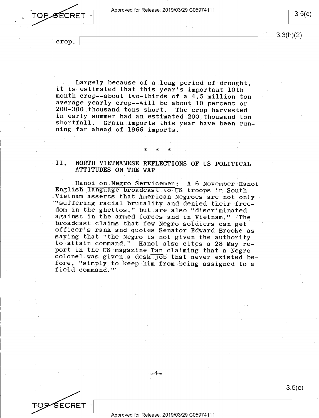TOPSECRET  $\frac{10}{\sqrt{5}}$ 

3.3(h)(2)

crop.

 $\mathsf{SCRET}$ 

Largely because of a long period of drought, it is estimated that this year's important 10th month crop--about two-thirds of a 4.5 million ton average yearly crop--will be about 10 percent or 200-300 thousand tons short. The crop harvested in early summer had an estimated 200 thousand ton shortfall. Grain imports this year have been running far ahead of 1966 imports.

#### II. NORTH VIETNAMESE REFLECTIONS OF US POLITICAL ATTITUDES ON THE WAR

\* \* \*

Hanoi on Negro Servicemen: A 6 November Hanoi English language broadcast to US troops in South Vietnam asserts that American Negroes are not only "suffering racial brutality and denied their freedom in the ghettos," but are also "discriminated against in the armed forces and in Vietnam." The broadcast claims that few Negro soldiers can get officer's rank and quotes Senator Edward Brooke as saying that "the Negro is not given the authority to,attain command." Hanoi also cites a 28 May report in the US magazine Tan claiming that a Negro colonel was given a desk job that never existed before, "simply to keep him from being assigned to <sup>a</sup> field command."